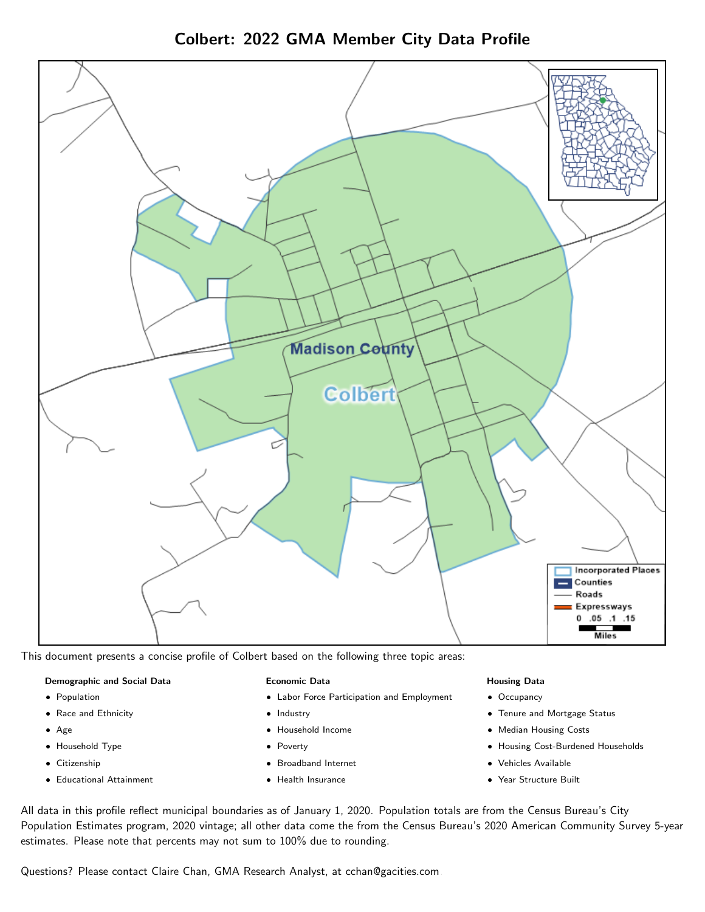Colbert: 2022 GMA Member City Data Profile



This document presents a concise profile of Colbert based on the following three topic areas:

#### Demographic and Social Data

- **•** Population
- Race and Ethnicity
- Age
- Household Type
- **Citizenship**
- Educational Attainment

#### Economic Data

- Labor Force Participation and Employment
- Industry
- Household Income
- Poverty
- Broadband Internet
- Health Insurance

#### Housing Data

- Occupancy
- Tenure and Mortgage Status
- Median Housing Costs
- Housing Cost-Burdened Households
- Vehicles Available
- Year Structure Built

All data in this profile reflect municipal boundaries as of January 1, 2020. Population totals are from the Census Bureau's City Population Estimates program, 2020 vintage; all other data come the from the Census Bureau's 2020 American Community Survey 5-year estimates. Please note that percents may not sum to 100% due to rounding.

Questions? Please contact Claire Chan, GMA Research Analyst, at [cchan@gacities.com.](mailto:cchan@gacities.com)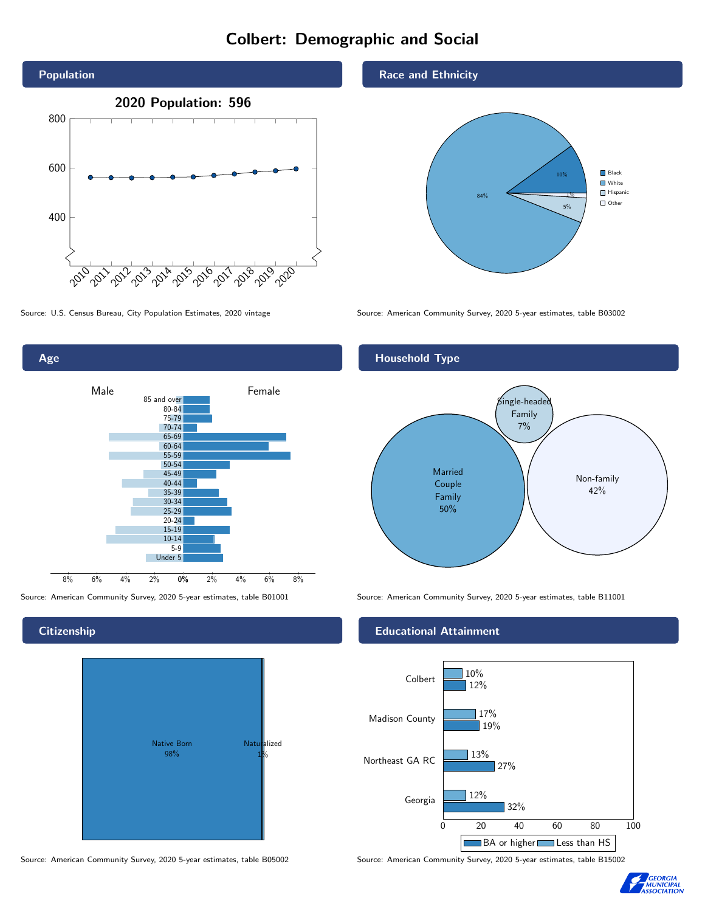# Colbert: Demographic and Social



0% 2% 4% 6% 8% Male **Female** 8% 6% 4% 2% 85 and over 80-84 75-79 70-74 65-69 60-64 55-59 50-54 45-49 40-44 35-39 30-34 25-29 20-24 15-19  $10-14$ 5-9 Under 5

## **Citizenship**

Age



Source: American Community Survey, 2020 5-year estimates, table B05002 Source: American Community Survey, 2020 5-year estimates, table B15002

Race and Ethnicity



Source: U.S. Census Bureau, City Population Estimates, 2020 vintage Source: American Community Survey, 2020 5-year estimates, table B03002



Source: American Community Survey, 2020 5-year estimates, table B01001 Source: American Community Survey, 2020 5-year estimates, table B11001

### Educational Attainment



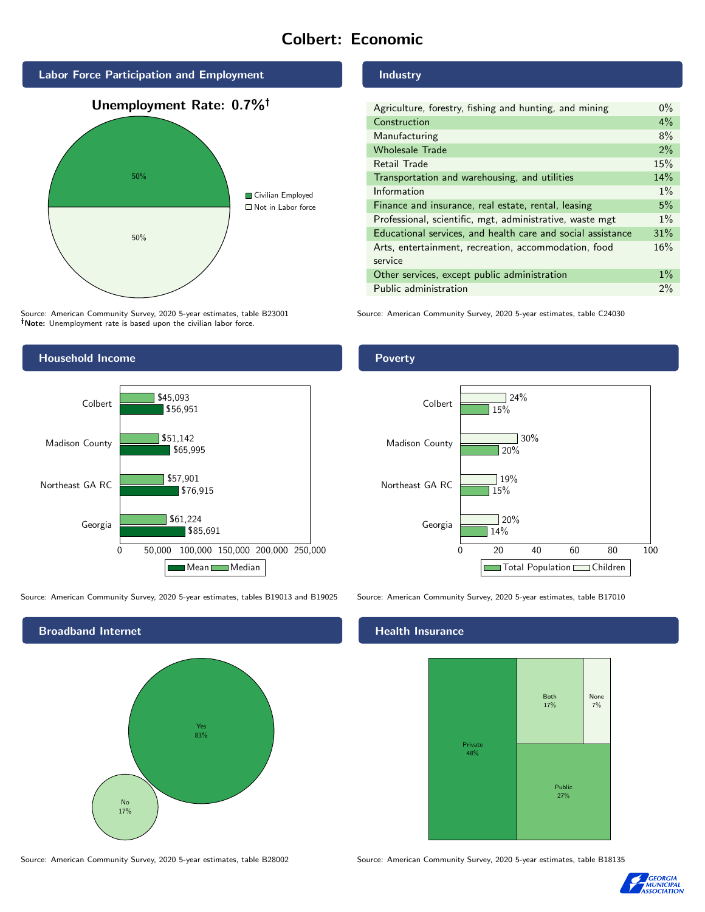# Colbert: Economic



Source: American Community Survey, 2020 5-year estimates, table B23001 Note: Unemployment rate is based upon the civilian labor force.

# Household Income



Source: American Community Survey, 2020 5-year estimates, tables B19013 and B19025 Source: American Community Survey, 2020 5-year estimates, table B17010



#### Industry

| Agriculture, forestry, fishing and hunting, and mining      | $0\%$ |
|-------------------------------------------------------------|-------|
| Construction                                                | $4\%$ |
| Manufacturing                                               | 8%    |
| <b>Wholesale Trade</b>                                      | 2%    |
| Retail Trade                                                | 15%   |
| Transportation and warehousing, and utilities               | 14%   |
| Information                                                 | $1\%$ |
| Finance and insurance, real estate, rental, leasing         | 5%    |
| Professional, scientific, mgt, administrative, waste mgt    | $1\%$ |
| Educational services, and health care and social assistance | 31%   |
| Arts, entertainment, recreation, accommodation, food        | 16%   |
| service                                                     |       |
| Other services, except public administration                | $1\%$ |
| Public administration                                       | 2%    |

Source: American Community Survey, 2020 5-year estimates, table C24030

### Poverty



# **Health Insurance**



Source: American Community Survey, 2020 5-year estimates, table B28002 Source: American Community Survey, 2020 5-year estimates, table B18135